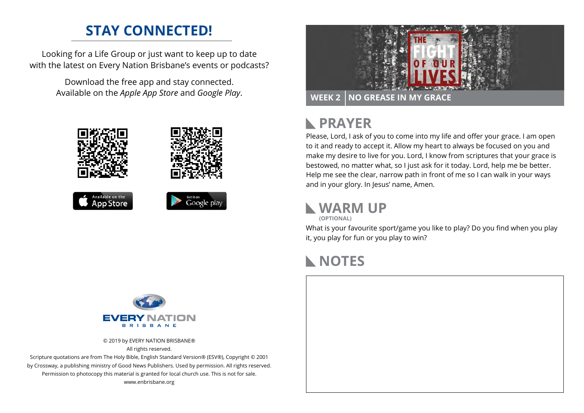## **STAY CONNECTED!**

Looking for a Life Group or just want to keep up to date with the latest on Every Nation Brisbane's events or podcasts?

> Download the free app and stay connected. Available on the *Apple App Store* and *Google Play*.





### **PRAYER**  $\mathbb{R}$

Please, Lord, I ask of you to come into my life and offer your grace. I am open to it and ready to accept it. Allow my heart to always be focused on you and make my desire to live for you. Lord, I know from scriptures that your grace is bestowed, no matter what, so I just ask for it today. Lord, help me be better. Help me see the clear, narrow path in front of me so I can walk in your ways and in your glory. In Jesus' name, Amen.

**WARM UP**

**(OPTIONAL)**

What is your favourite sport/game you like to play? Do you find when you play it, you play for fun or you play to win?

## **NOTES**



© 2019 by EVERY NATION BRISBANE® All rights reserved.

Scripture quotations are from The Holy Bible, English Standard Version® (ESV®), Copyright © 2001 by Crossway, a publishing ministry of Good News Publishers. Used by permission. All rights reserved. Permission to photocopy this material is granted for local church use. This is not for sale. www.enbrisbane.org